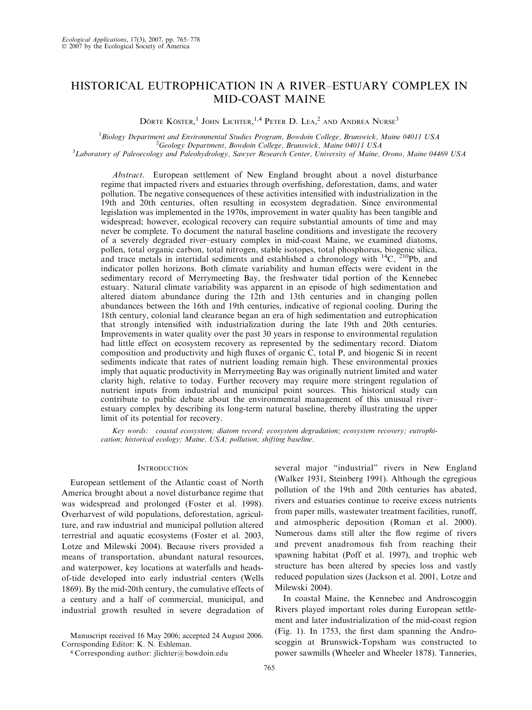# HISTORICAL EUTROPHICATION IN A RIVER–ESTUARY COMPLEX IN MID-COAST MAINE

Dörte Köster,<sup>1</sup> John Lichter,<sup>1,4</sup> Peter D. Lea,<sup>2</sup> and Andrea Nurse<sup>3</sup>

<sup>1</sup> Biology Department and Environmental Studies Program, Bowdoin College, Brunswick, Maine 04011 USA<br><sup>2</sup>Coolegy Department, Bowdoin College, Brunswick, Maine 04011 USA

Geology Department, Bowdoin College, Brunswick, Maine 04011 USA<sup>3</sup><br>3 Laboratory of Paleoecology and Paleohydrology, Sawyer Research Center, University of Maine, Orono, Maine 04469 USA

Abstract. European settlement of New England brought about a novel disturbance regime that impacted rivers and estuaries through overfishing, deforestation, dams, and water pollution. The negative consequences of these activities intensified with industrialization in the 19th and 20th centuries, often resulting in ecosystem degradation. Since environmental legislation was implemented in the 1970s, improvement in water quality has been tangible and widespread; however, ecological recovery can require substantial amounts of time and may never be complete. To document the natural baseline conditions and investigate the recovery of a severely degraded river–estuary complex in mid-coast Maine, we examined diatoms, pollen, total organic carbon, total nitrogen, stable isotopes, total phosphorus, biogenic silica, and trace metals in intertidal sediments and established a chronology with  ${}^{14}C$ ,  ${}^{210}Pb$ , and indicator pollen horizons. Both climate variability and human effects were evident in the sedimentary record of Merrymeeting Bay, the freshwater tidal portion of the Kennebec estuary. Natural climate variability was apparent in an episode of high sedimentation and altered diatom abundance during the 12th and 13th centuries and in changing pollen abundances between the 16th and 19th centuries, indicative of regional cooling. During the 18th century, colonial land clearance began an era of high sedimentation and eutrophication that strongly intensified with industrialization during the late 19th and 20th centuries. Improvements in water quality over the past 30 years in response to environmental regulation had little effect on ecosystem recovery as represented by the sedimentary record. Diatom composition and productivity and high fluxes of organic C, total P, and biogenic Si in recent sediments indicate that rates of nutrient loading remain high. These environmental proxies imply that aquatic productivity in Merrymeeting Bay was originally nutrient limited and water clarity high, relative to today. Further recovery may require more stringent regulation of nutrient inputs from industrial and municipal point sources. This historical study can contribute to public debate about the environmental management of this unusual river– estuary complex by describing its long-term natural baseline, thereby illustrating the upper limit of its potential for recovery.

Key words: coastal ecosystem; diatom record; ecosystem degradation; ecosystem recovery; eutrophication; historical ecology; Maine, USA; pollution; shifting baseline.

## **INTRODUCTION**

European settlement of the Atlantic coast of North America brought about a novel disturbance regime that was widespread and prolonged (Foster et al. 1998). Overharvest of wild populations, deforestation, agriculture, and raw industrial and municipal pollution altered terrestrial and aquatic ecosystems (Foster et al. 2003, Lotze and Milewski 2004). Because rivers provided a means of transportation, abundant natural resources, and waterpower, key locations at waterfalls and headsof-tide developed into early industrial centers (Wells 1869). By the mid-20th century, the cumulative effects of a century and a half of commercial, municipal, and industrial growth resulted in severe degradation of several major ''industrial'' rivers in New England (Walker 1931, Steinberg 1991). Although the egregious pollution of the 19th and 20th centuries has abated, rivers and estuaries continue to receive excess nutrients from paper mills, wastewater treatment facilities, runoff, and atmospheric deposition (Roman et al. 2000). Numerous dams still alter the flow regime of rivers and prevent anadromous fish from reaching their spawning habitat (Poff et al. 1997), and trophic web structure has been altered by species loss and vastly reduced population sizes (Jackson et al. 2001, Lotze and Milewski 2004).

In coastal Maine, the Kennebec and Androscoggin Rivers played important roles during European settlement and later industrialization of the mid-coast region (Fig. 1). In 1753, the first dam spanning the Androscoggin at Brunswick-Topsham was constructed to power sawmills (Wheeler and Wheeler 1878). Tanneries,

Manuscript received 16 May 2006; accepted 24 August 2006. Corresponding Editor: K. N. Eshleman.

<sup>4</sup> Corresponding author: jlichter@bowdoin.edu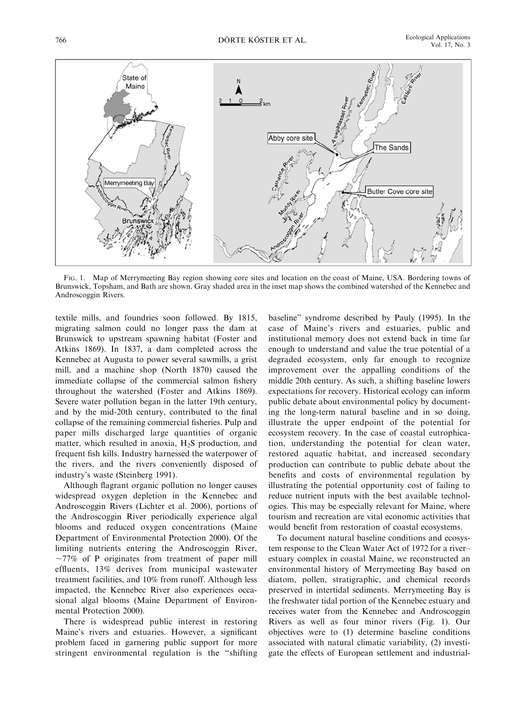766 DÖRTE KÖSTER ET AL. Ecological Applications



FIG. 1. Map of Merrymeeting Bay region showing core sites and location on the coast of Maine, USA. Bordering towns of Brunswick, Topsham, and Bath are shown. Gray shaded area in the inset map shows the combined watershed of the Kennebec and Androscoggin Rivers.

textile mills, and foundries soon followed. By 1815, migrating salmon could no longer pass the dam at Brunswick to upstream spawning habitat (Foster and Atkins 1869). In 1837, a dam completed across the Kennebec at Augusta to power several sawmills, a grist mill, and a machine shop (North 1870) caused the immediate collapse of the commercial salmon fishery throughout the watershed (Foster and Atkins 1869). Severe water pollution began in the latter 19th century, and by the mid-20th century, contributed to the final collapse of the remaining commercial fisheries. Pulp and paper mills discharged large quantities of organic matter, which resulted in anoxia,  $H_2S$  production, and frequent fish kills. Industry harnessed the waterpower of the rivers, and the rivers conveniently disposed of industry's waste (Steinberg 1991).

Although flagrant organic pollution no longer causes widespread oxygen depletion in the Kennebec and Androscoggin Rivers (Lichter et al. 2006), portions of the Androscoggin River periodically experience algal blooms and reduced oxygen concentrations (Maine Department of Environmental Protection 2000). Of the limiting nutrients entering the Androscoggin River,  $\sim$ 77% of P originates from treatment of paper mill effluents, 13% derives from municipal wastewater treatment facilities, and 10% from runoff. Although less impacted, the Kennebec River also experiences occasional algal blooms (Maine Department of Environmental Protection 2000).

There is widespread public interest in restoring Maine's rivers and estuaries. However, a significant problem faced in garnering public support for more stringent environmental regulation is the ''shifting baseline'' syndrome described by Pauly (1995). In the case of Maine's rivers and estuaries, public and institutional memory does not extend back in time far enough to understand and value the true potential of a degraded ecosystem, only far enough to recognize improvement over the appalling conditions of the middle 20th century. As such, a shifting baseline lowers expectations for recovery. Historical ecology can inform public debate about environmental policy by documenting the long-term natural baseline and in so doing, illustrate the upper endpoint of the potential for ecosystem recovery. In the case of coastal eutrophication, understanding the potential for clean water, restored aquatic habitat, and increased secondary production can contribute to public debate about the benefits and costs of environmental regulation by illustrating the potential opportunity cost of failing to reduce nutrient inputs with the best available technologies. This may be especially relevant for Maine, where tourism and recreation are vital economic activities that would benefit from restoration of coastal ecosystems.

To document natural baseline conditions and ecosystem response to the Clean Water Act of 1972 for a river– estuary complex in coastal Maine, we reconstructed an environmental history of Merrymeeting Bay based on diatom, pollen, stratigraphic, and chemical records preserved in intertidal sediments. Merrymeeting Bay is the freshwater tidal portion of the Kennebec estuary and receives water from the Kennebec and Androscoggin Rivers as well as four minor rivers (Fig. 1). Our objectives were to (1) determine baseline conditions associated with natural climatic variability, (2) investigate the effects of European settlement and industrial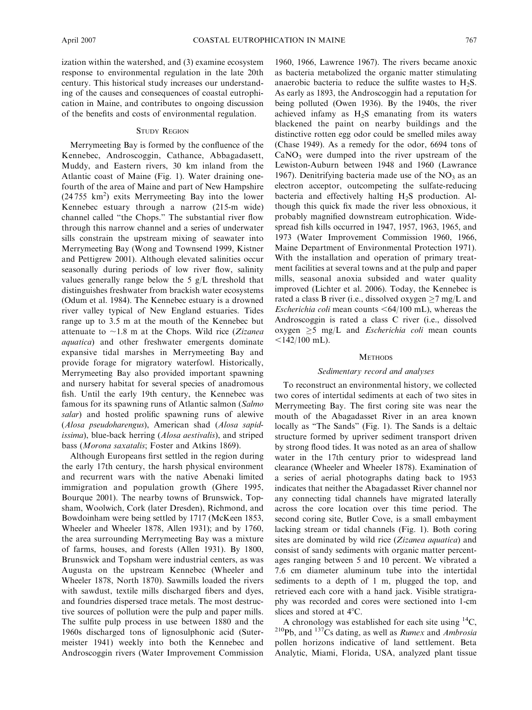ization within the watershed, and (3) examine ecosystem response to environmental regulation in the late 20th century. This historical study increases our understanding of the causes and consequences of coastal eutrophication in Maine, and contributes to ongoing discussion of the benefits and costs of environmental regulation.

## STUDY REGION

Merrymeeting Bay is formed by the confluence of the Kennebec, Androscoggin, Cathance, Abbagadasett, Muddy, and Eastern rivers, 30 km inland from the Atlantic coast of Maine (Fig. 1). Water draining onefourth of the area of Maine and part of New Hampshire  $(24755 \text{ km}^2)$  exits Merrymeeting Bay into the lower Kennebec estuary through a narrow (215-m wide) channel called ''the Chops.'' The substantial river flow through this narrow channel and a series of underwater sills constrain the upstream mixing of seawater into Merrymeeting Bay (Wong and Townsend 1999, Kistner and Pettigrew 2001). Although elevated salinities occur seasonally during periods of low river flow, salinity values generally range below the 5 g/L threshold that distinguishes freshwater from brackish water ecosystems (Odum et al. 1984). The Kennebec estuary is a drowned river valley typical of New England estuaries. Tides range up to 3.5 m at the mouth of the Kennebec but attenuate to  $\sim$ 1.8 m at the Chops. Wild rice (Zizanea aquatica) and other freshwater emergents dominate expansive tidal marshes in Merrymeeting Bay and provide forage for migratory waterfowl. Historically, Merrymeeting Bay also provided important spawning and nursery habitat for several species of anadromous fish. Until the early 19th century, the Kennebec was famous for its spawning runs of Atlantic salmon (Salmo salar) and hosted prolific spawning runs of alewive (Alosa pseudoharengus), American shad (Alosa sapidissima), blue-back herring (*Alosa aestivalis*), and striped bass (Morona saxatalis; Foster and Atkins 1869).

Although Europeans first settled in the region during the early 17th century, the harsh physical environment and recurrent wars with the native Abenaki limited immigration and population growth (Ghere 1995, Bourque 2001). The nearby towns of Brunswick, Topsham, Woolwich, Cork (later Dresden), Richmond, and Bowdoinham were being settled by 1717 (McKeen 1853, Wheeler and Wheeler 1878, Allen 1931); and by 1760, the area surrounding Merrymeeting Bay was a mixture of farms, houses, and forests (Allen 1931). By 1800, Brunswick and Topsham were industrial centers, as was Augusta on the upstream Kennebec (Wheeler and Wheeler 1878, North 1870). Sawmills loaded the rivers with sawdust, textile mills discharged fibers and dyes, and foundries dispersed trace metals. The most destructive sources of pollution were the pulp and paper mills. The sulfite pulp process in use between 1880 and the 1960s discharged tons of lignosulphonic acid (Sutermeister 1941) weekly into both the Kennebec and Androscoggin rivers (Water Improvement Commission 1960, 1966, Lawrence 1967). The rivers became anoxic as bacteria metabolized the organic matter stimulating anaerobic bacteria to reduce the sulfite wastes to  $H_2S$ . As early as 1893, the Androscoggin had a reputation for being polluted (Owen 1936). By the 1940s, the river achieved infamy as  $H_2S$  emanating from its waters blackened the paint on nearby buildings and the distinctive rotten egg odor could be smelled miles away (Chase 1949). As a remedy for the odor, 6694 tons of  $CaNO<sub>3</sub>$  were dumped into the river upstream of the Lewiston-Auburn between 1948 and 1960 (Lawrance 1967). Denitrifying bacteria made use of the  $NO<sub>3</sub>$  as an electron acceptor, outcompeting the sulfate-reducing bacteria and effectively halting  $H_2S$  production. Although this quick fix made the river less obnoxious, it probably magnified downstream eutrophication. Widespread fish kills occurred in 1947, 1957, 1963, 1965, and 1973 (Water Improvement Commission 1960, 1966, Maine Department of Environmental Protection 1971). With the installation and operation of primary treatment facilities at several towns and at the pulp and paper mills, seasonal anoxia subsided and water quality improved (Lichter et al. 2006). Today, the Kennebec is rated a class B river (i.e., dissolved oxygen  $\geq$ 7 mg/L and *Escherichia coli* mean counts  $\langle 64/100 \text{ mL} \rangle$ , whereas the Androscoggin is rated a class C river (i.e., dissolved oxygen  $\geq$ 5 mg/L and *Escherichia coli* mean counts  $<$ 142/100 mL).

## **METHODS**

## Sedimentary record and analyses

To reconstruct an environmental history, we collected two cores of intertidal sediments at each of two sites in Merrymeeting Bay. The first coring site was near the mouth of the Abagadasset River in an area known locally as "The Sands" (Fig. 1). The Sands is a deltaic structure formed by upriver sediment transport driven by strong flood tides. It was noted as an area of shallow water in the 17th century prior to widespread land clearance (Wheeler and Wheeler 1878). Examination of a series of aerial photographs dating back to 1953 indicates that neither the Abagadasset River channel nor any connecting tidal channels have migrated laterally across the core location over this time period. The second coring site, Butler Cove, is a small embayment lacking stream or tidal channels (Fig. 1). Both coring sites are dominated by wild rice (Zizanea aquatica) and consist of sandy sediments with organic matter percentages ranging between 5 and 10 percent. We vibrated a 7.6 cm diameter aluminum tube into the intertidal sediments to a depth of 1 m, plugged the top, and retrieved each core with a hand jack. Visible stratigraphy was recorded and cores were sectioned into 1-cm slices and stored at  $4^{\circ}$ C.

A chronology was established for each site using  ${}^{14}C$ ,  ${}^{210}Pb$ , and  ${}^{137}Cs$  dating, as well as *Rumex* and *Ambrosia* pollen horizons indicative of land settlement. Beta Analytic, Miami, Florida, USA, analyzed plant tissue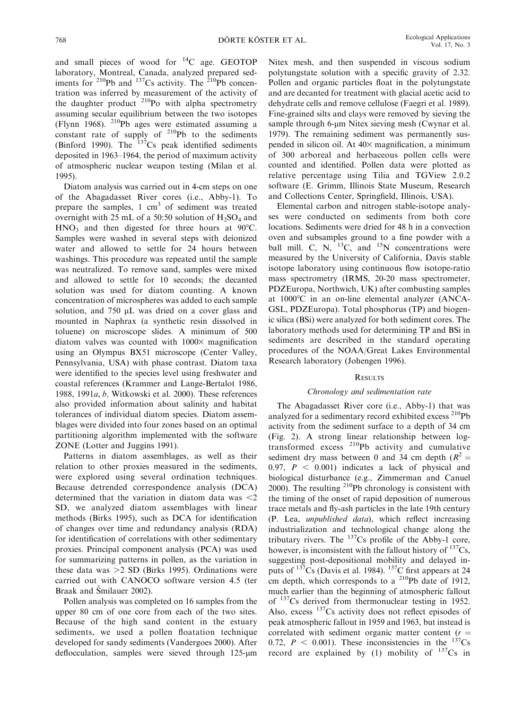and small pieces of wood for 14C age. GEOTOP laboratory, Montreal, Canada, analyzed prepared sediments for  $^{210}Pb$  and  $^{137}Cs$  activity. The  $^{210}Pb$  concentration was inferred by measurement of the activity of the daughter product  $^{210}$ Po with alpha spectrometry assuming secular equilibrium between the two isotopes (Flynn 1968). 210Pb ages were estimated assuming a constant rate of supply of  $2^{10}Pb$  to the sediments (Binford 1990). The  $137Cs$  peak identified sediments deposited in 1963–1964, the period of maximum activity of atmospheric nuclear weapon testing (Milan et al. 1995).

Diatom analysis was carried out in 4-cm steps on one of the Abagadasset River cores (i.e., Abby-1). To prepare the samples,  $1 \text{ cm}^3$  of sediment was treated overnight with 25 mL of a 50:50 solution of  $H_2SO_4$  and  $HNO<sub>3</sub>$  and then digested for three hours at 90°C. Samples were washed in several steps with deionized water and allowed to settle for 24 hours between washings. This procedure was repeated until the sample was neutralized. To remove sand, samples were mixed and allowed to settle for 10 seconds; the decanted solution was used for diatom counting. A known concentration of microspheres was added to each sample solution, and  $750 \mu L$  was dried on a cover glass and mounted in Naphrax (a synthetic resin dissolved in toluene) on microscope slides. A minimum of 500 diatom valves was counted with  $1000 \times$  magnification using an Olympus BX51 microscope (Center Valley, Pennsylvania, USA) with phase contrast. Diatom taxa were identified to the species level using freshwater and coastal references (Krammer and Lange-Bertalot 1986, 1988, 1991a, b, Witkowski et al. 2000). These references also provided information about salinity and habitat tolerances of individual diatom species. Diatom assemblages were divided into four zones based on an optimal partitioning algorithm implemented with the software ZONE (Lotter and Juggins 1991).

Patterns in diatom assemblages, as well as their relation to other proxies measured in the sediments, were explored using several ordination techniques. Because detrended correspondence analysis (DCA) determined that the variation in diatom data was  $\leq$ 2 SD, we analyzed diatom assemblages with linear methods (Birks 1995), such as DCA for identification of changes over time and redundancy analysis (RDA) for identification of correlations with other sedimentary proxies. Principal component analysis (PCA) was used for summarizing patterns in pollen, as the variation in these data was  $>2$  SD (Birks 1995). Ordinations were carried out with CANOCO software version 4.5 (ter Braak and Šmilauer 2002).

Pollen analysis was completed on 16 samples from the upper 80 cm of one core from each of the two sites. Because of the high sand content in the estuary sediments, we used a pollen floatation technique developed for sandy sediments (Vandergoes 2000). After deflocculation, samples were sieved through  $125$ - $\mu$ m Nitex mesh, and then suspended in viscous sodium polytungstate solution with a specific gravity of 2.32. Pollen and organic particles float in the polytungstate and are decanted for treatment with glacial acetic acid to dehydrate cells and remove cellulose (Faegri et al. 1989). Fine-grained silts and clays were removed by sieving the sample through 6-µm Nitex sieving mesh (Cwynar et al. 1979). The remaining sediment was permanently suspended in silicon oil. At  $40\times$  magnification, a minimum of 300 arboreal and herbaceous pollen cells were counted and identified. Pollen data were plotted as relative percentage using Tilia and TGView 2.0.2 software (E. Grimm, Illinois State Museum, Research and Collections Center, Springfield, Illinois, USA).

Elemental carbon and nitrogen stable-isotope analyses were conducted on sediments from both core locations. Sediments were dried for 48 h in a convection oven and subsamples ground to a fine powder with a ball mill. C, N,  $^{13}$ C, and  $^{15}$ N concentrations were measured by the University of California, Davis stable isotope laboratory using continuous flow isotope-ratio mass spectrometry (IRMS, 20-20 mass spectrometer, PDZEuropa, Northwich, UK) after combusting samples at 1000°C in an on-line elemental analyzer (ANCA-GSL, PDZEuropa). Total phosphorus (TP) and biogenic silica (BSi) were analyzed for both sediment cores. The laboratory methods used for determining TP and BSi in sediments are described in the standard operating procedures of the NOAA/Great Lakes Environmental Research laboratory (Johengen 1996).

## **RESULTS**

## Chronology and sedimentation rate

The Abagadasset River core (i.e., Abby-1) that was analyzed for a sedimentary record exhibited excess <sup>210</sup>Pb activity from the sediment surface to a depth of 34 cm (Fig. 2). A strong linear relationship between logtransformed excess 210Pb activity and cumulative sediment dry mass between 0 and 34 cm depth ( $R^2$  = 0.97,  $P \le 0.001$ ) indicates a lack of physical and biological disturbance (e.g., Zimmerman and Canuel 2000). The resulting 210Pb chronology is consistent with the timing of the onset of rapid deposition of numerous trace metals and fly-ash particles in the late 19th century (P. Lea, unpublished data), which reflect increasing industrialization and technological change along the tributary rivers. The  $137Cs$  profile of the Abby-1 core, however, is inconsistent with the fallout history of  $137Cs$ , suggesting post-depositional mobility and delayed inputs of 137Cs (Davis et al. 1984). 137C first appears at 24 cm depth, which corresponds to a  $^{210}Pb$  date of 1912, much earlier than the beginning of atmospheric fallout of  $137$ Cs derived from thermonuclear testing in 1952. Also, excess <sup>137</sup>Cs activity does not reflect episodes of peak atmospheric fallout in 1959 and 1963, but instead is correlated with sediment organic matter content  $(r =$ 0.72,  $P < 0.001$ ). These inconsistencies in the  $^{137}Cs$ record are explained by (1) mobility of  $137Cs$  in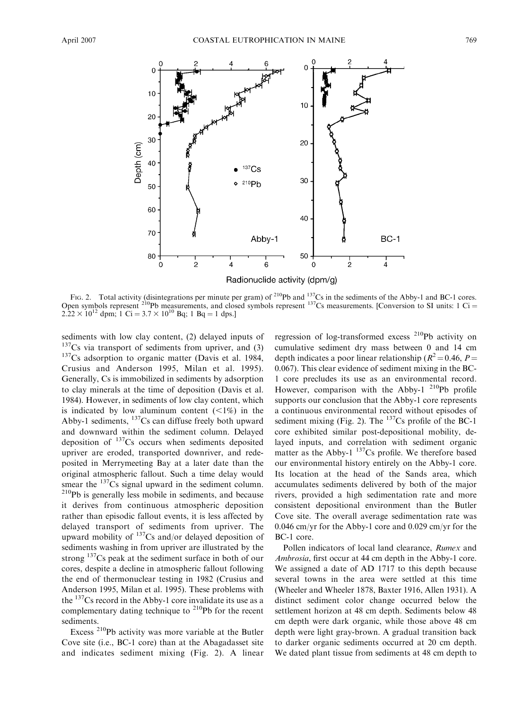

FIG. 2. Total activity (disintegrations per minute per gram) of <sup>210</sup>Pb and <sup>137</sup>Cs in the sediments of the Abby-1 and BC-1 cores. Open symbols represent  $^{210}$ Pb measurements, and closed symbols represent  $^{137}$ Cs measurements. [Conversion to SI units: 1 Ci =  $2.22 \times 10^{12}$  dpm; 1 Ci = 3.7  $\times$  10<sup>10</sup> Bq; 1 Bq = 1 dps.]

sediments with low clay content, (2) delayed inputs of  $137Cs$  via transport of sediments from upriver, and (3)  $137Cs$  adsorption to organic matter (Davis et al. 1984, Crusius and Anderson 1995, Milan et al. 1995). Generally, Cs is immobilized in sediments by adsorption to clay minerals at the time of deposition (Davis et al. 1984). However, in sediments of low clay content, which is indicated by low aluminum content  $(<1%)$  in the Abby-1 sediments, 137Cs can diffuse freely both upward and downward within the sediment column. Delayed deposition of  $137Cs$  occurs when sediments deposited upriver are eroded, transported downriver, and redeposited in Merrymeeting Bay at a later date than the original atmospheric fallout. Such a time delay would smear the  $137Cs$  signal upward in the sediment column. 210Pb is generally less mobile in sediments, and because it derives from continuous atmospheric deposition rather than episodic fallout events, it is less affected by delayed transport of sediments from upriver. The upward mobility of  $137$ Cs and/or delayed deposition of sediments washing in from upriver are illustrated by the strong 137Cs peak at the sediment surface in both of our cores, despite a decline in atmospheric fallout following the end of thermonuclear testing in 1982 (Crusius and Anderson 1995, Milan et al. 1995). These problems with the 137Cs record in the Abby-1 core invalidate its use as a complementary dating technique to 210Pb for the recent sediments.

Excess 210Pb activity was more variable at the Butler Cove site (i.e., BC-1 core) than at the Abagadasset site and indicates sediment mixing (Fig. 2). A linear regression of log-transformed excess  $^{210}Pb$  activity on cumulative sediment dry mass between 0 and 14 cm depth indicates a poor linear relationship ( $R^2 = 0.46$ ,  $P =$ 0.067). This clear evidence of sediment mixing in the BC-1 core precludes its use as an environmental record. However, comparison with the Abby-1  $^{210}Pb$  profile supports our conclusion that the Abby-1 core represents a continuous environmental record without episodes of sediment mixing (Fig. 2). The  $137Cs$  profile of the BC-1 core exhibited similar post-depositional mobility, delayed inputs, and correlation with sediment organic matter as the Abby-1  $137$ Cs profile. We therefore based our environmental history entirely on the Abby-1 core. Its location at the head of the Sands area, which accumulates sediments delivered by both of the major rivers, provided a high sedimentation rate and more consistent depositional environment than the Butler Cove site. The overall average sedimentation rate was 0.046 cm/yr for the Abby-1 core and 0.029 cm/yr for the BC-1 core.

Pollen indicators of local land clearance, Rumex and Ambrosia, first occur at 44 cm depth in the Abby-1 core. We assigned a date of AD 1717 to this depth because several towns in the area were settled at this time (Wheeler and Wheeler 1878, Baxter 1916, Allen 1931). A distinct sediment color change occurred below the settlement horizon at 48 cm depth. Sediments below 48 cm depth were dark organic, while those above 48 cm depth were light gray-brown. A gradual transition back to darker organic sediments occurred at 20 cm depth. We dated plant tissue from sediments at 48 cm depth to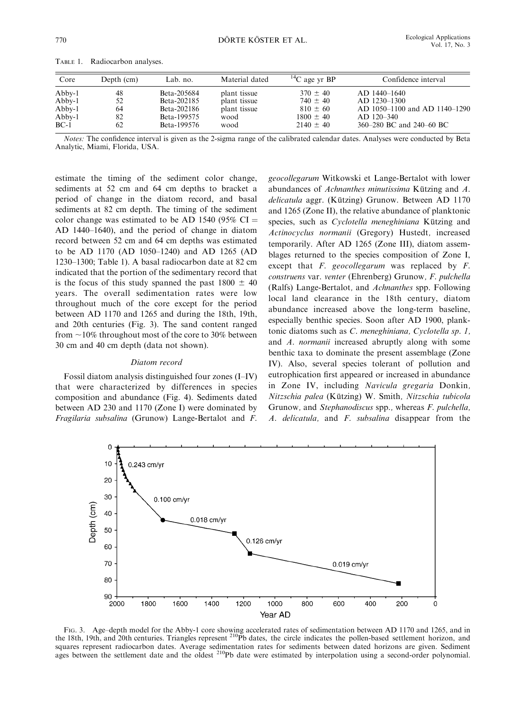| Core   | Depth (cm) | Lab. no.    | Material dated | ${}^{14}C$ age yr BP | Confidence interval           |
|--------|------------|-------------|----------------|----------------------|-------------------------------|
| Abby-1 | 48         | Beta-205684 | plant tissue   | $370 \pm 40$         | $AD$ 1440–1640                |
| Abby-1 | 52         | Beta-202185 | plant tissue   | $740 \pm 40$         | AD 1230-1300                  |
| Abby-1 | 64         | Beta-202186 | plant tissue   | $810 \pm 60$         | AD 1050-1100 and AD 1140-1290 |
| Abby-1 | 82         | Beta-199575 | wood           | $1800 \pm 40$        | $AD$ 120–340                  |
| $BC-1$ | 62         | Beta-199576 | wood           | $2140 \pm 40$        | 360–280 BC and 240–60 BC      |

TABLE 1. Radiocarbon analyses.

Notes: The confidence interval is given as the 2-sigma range of the calibrated calendar dates. Analyses were conducted by Beta Analytic, Miami, Florida, USA.

estimate the timing of the sediment color change, sediments at 52 cm and 64 cm depths to bracket a period of change in the diatom record, and basal sediments at 82 cm depth. The timing of the sediment color change was estimated to be AD 1540 (95% CI  $=$ AD 1440–1640), and the period of change in diatom record between 52 cm and 64 cm depths was estimated to be AD 1170 (AD 1050–1240) and AD 1265 (AD 1230–1300; Table 1). A basal radiocarbon date at 82 cm indicated that the portion of the sedimentary record that is the focus of this study spanned the past  $1800 \pm 40$ years. The overall sedimentation rates were low throughout much of the core except for the period between AD 1170 and 1265 and during the 18th, 19th, and 20th centuries (Fig. 3). The sand content ranged from  $\sim$ 10% throughout most of the core to 30% between 30 cm and 40 cm depth (data not shown).

## Diatom record

Fossil diatom analysis distinguished four zones (I–IV) that were characterized by differences in species composition and abundance (Fig. 4). Sediments dated between AD 230 and 1170 (Zone I) were dominated by Fragilaria subsalina (Grunow) Lange-Bertalot and F. geocollegarum Witkowski et Lange-Bertalot with lower abundances of Achnanthes minutissima Kützing and  $A$ . delicatula aggr. (Kützing) Grunow. Between AD 1170 and 1265 (Zone II), the relative abundance of planktonic species, such as Cyclotella meneghiniana Kützing and Actinocyclus normanii (Gregory) Hustedt, increased temporarily. After AD 1265 (Zone III), diatom assemblages returned to the species composition of Zone I, except that F. geocollegarum was replaced by F. construens var. venter (Ehrenberg) Grunow, F. pulchella (Ralfs) Lange-Bertalot, and Achnanthes spp. Following local land clearance in the 18th century, diatom abundance increased above the long-term baseline, especially benthic species. Soon after AD 1900, planktonic diatoms such as C. meneghiniana, Cyclotella sp. 1, and A. normanii increased abruptly along with some benthic taxa to dominate the present assemblage (Zone IV). Also, several species tolerant of pollution and eutrophication first appeared or increased in abundance in Zone IV, including Navicula gregaria Donkin, Nitzschia palea (Kützing) W. Smith, Nitzschia tubicola Grunow, and Stephanodiscus spp., whereas F. pulchella, A. delicatula, and F. subsalina disappear from the



Fig. 3. Age-depth model for the Abby-1 core showing accelerated rates of sedimentation between AD 1170 and 1265, and in the 18th, 19th, and 20th centuries. Triangles represent <sup>210</sup>Pb dates, the circle indicates the pollen squares represent radiocarbon dates. Average sedimentation rates for sediments between dated horizons are given. Sediment ages between the settlement date and the oldest <sup>210</sup>Pb date were estimated by interpolation using a second-order polynomial.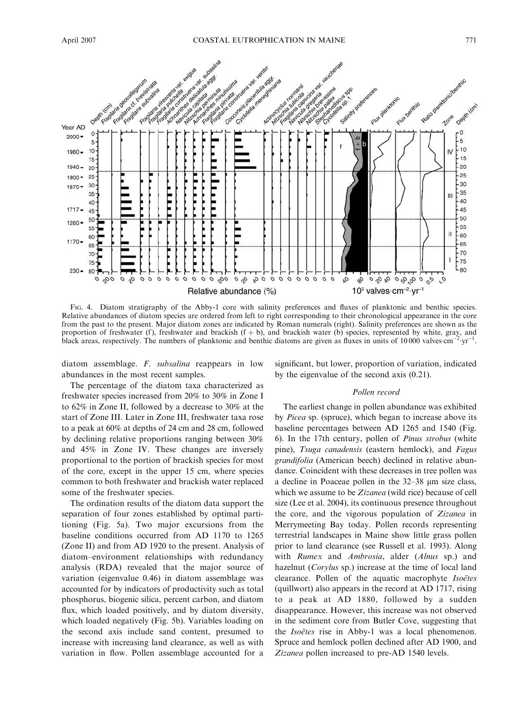

FIG. 4. Diatom stratigraphy of the Abby-1 core with salinity preferences and fluxes of planktonic and benthic species. Relative abundances of diatom species are ordered from left to right corresponding to their chronological appearance in the core from the past to the present. Major diatom zones are indicated by Roman numerals (right). Salinity preferences are shown as the proportion of freshwater (f), freshwater and brackish (f + b), and brackish water (b) species, represented by white, gray, and black areas, respectively. The numbers of planktonic and benthic diatoms are given as fluxes in units of 10000 valves $cm^{-2}$  $\cdot$ yr<sup>-1</sup>.

diatom assemblage. F. subsalina reappears in low abundances in the most recent samples.

The percentage of the diatom taxa characterized as freshwater species increased from 20% to 30% in Zone I to 62% in Zone II, followed by a decrease to 30% at the start of Zone III. Later in Zone III, freshwater taxa rose to a peak at 60% at depths of 24 cm and 28 cm, followed by declining relative proportions ranging between 30% and 45% in Zone IV. These changes are inversely proportional to the portion of brackish species for most of the core, except in the upper 15 cm, where species common to both freshwater and brackish water replaced some of the freshwater species.

The ordination results of the diatom data support the separation of four zones established by optimal partitioning (Fig. 5a). Two major excursions from the baseline conditions occurred from AD 1170 to 1265 (Zone II) and from AD 1920 to the present. Analysis of diatom–environment relationships with redundancy analysis (RDA) revealed that the major source of variation (eigenvalue 0.46) in diatom assemblage was accounted for by indicators of productivity such as total phosphorus, biogenic silica, percent carbon, and diatom flux, which loaded positively, and by diatom diversity, which loaded negatively (Fig. 5b). Variables loading on the second axis include sand content, presumed to increase with increasing land clearance, as well as with variation in flow. Pollen assemblage accounted for a

significant, but lower, proportion of variation, indicated by the eigenvalue of the second axis (0.21).

## Pollen record

The earliest change in pollen abundance was exhibited by Picea sp. (spruce), which began to increase above its baseline percentages between AD 1265 and 1540 (Fig. 6). In the 17th century, pollen of Pinus strobus (white pine), Tsuga canadensis (eastern hemlock), and Fagus grandifolia (American beech) declined in relative abundance. Coincident with these decreases in tree pollen was a decline in Poaceae pollen in the 32–38 µm size class, which we assume to be Zizanea (wild rice) because of cell size (Lee et al. 2004), its continuous presence throughout the core, and the vigorous population of Zizanea in Merrymeeting Bay today. Pollen records representing terrestrial landscapes in Maine show little grass pollen prior to land clearance (see Russell et al. 1993). Along with Rumex and Ambrosia, alder (Alnus sp.) and hazelnut (*Corylus* sp.) increase at the time of local land clearance. Pollen of the aquatic macrophyte Isoëtes (quillwort) also appears in the record at AD 1717, rising to a peak at AD 1880, followed by a sudden disappearance. However, this increase was not observed in the sediment core from Butler Cove, suggesting that the Isoëtes rise in Abby-1 was a local phenomenon. Spruce and hemlock pollen declined after AD 1900, and Zizanea pollen increased to pre-AD 1540 levels.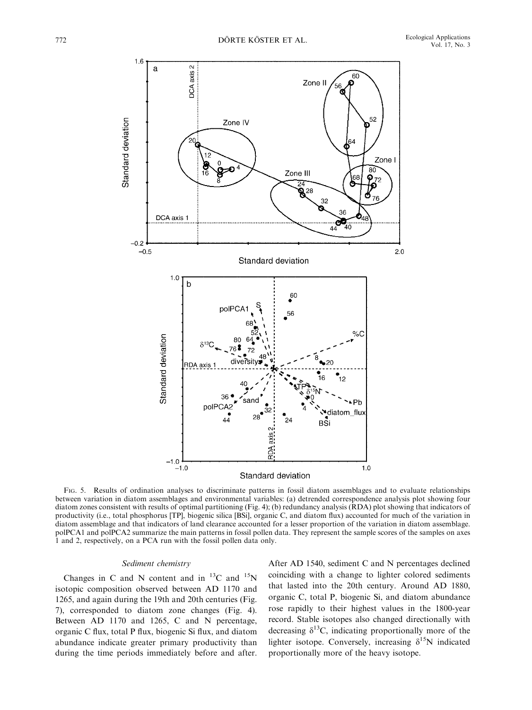

FIG. 5. Results of ordination analyses to discriminate patterns in fossil diatom assemblages and to evaluate relationships between variation in diatom assemblages and environmental variables: (a) detrended correspondence analysis plot showing four diatom zones consistent with results of optimal partitioning (Fig. 4); (b) redundancy analysis (RDA) plot showing that indicators of productivity (i.e., total phosphorus [TP], biogenic silica [BSi], organic C, and diatom flux) accounted for much of the variation in diatom assemblage and that indicators of land clearance accounted for a lesser proportion of the variation in diatom assemblage. polPCA1 and polPCA2 summarize the main patterns in fossil pollen data. They represent the sample scores of the samples on axes 1 and 2, respectively, on a PCA run with the fossil pollen data only.

## Sediment chemistry

Changes in C and N content and in  ${}^{13}$ C and  ${}^{15}$ N isotopic composition observed between AD 1170 and 1265, and again during the 19th and 20th centuries (Fig. 7), corresponded to diatom zone changes (Fig. 4). Between AD 1170 and 1265, C and N percentage, organic C flux, total P flux, biogenic Si flux, and diatom abundance indicate greater primary productivity than during the time periods immediately before and after. After AD 1540, sediment C and N percentages declined coinciding with a change to lighter colored sediments that lasted into the 20th century. Around AD 1880, organic C, total P, biogenic Si, and diatom abundance rose rapidly to their highest values in the 1800-year record. Stable isotopes also changed directionally with decreasing  $\delta^{13}$ C, indicating proportionally more of the lighter isotope. Conversely, increasing  $\delta^{15}N$  indicated proportionally more of the heavy isotope.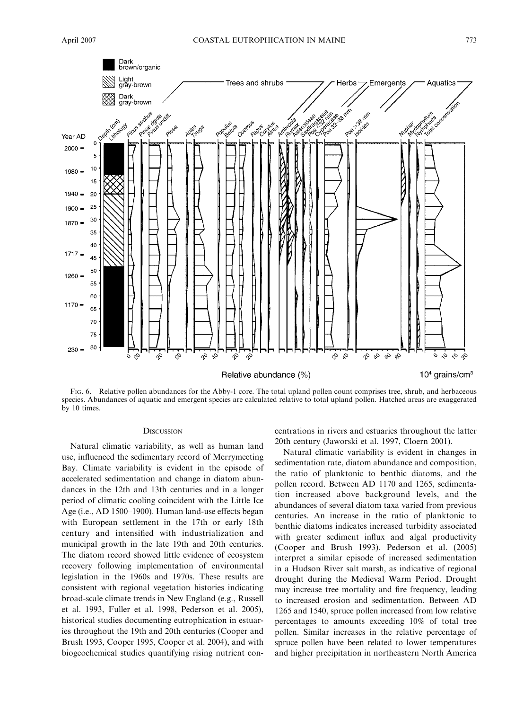

FIG. 6. Relative pollen abundances for the Abby-1 core. The total upland pollen count comprises tree, shrub, and herbaceous species. Abundances of aquatic and emergent species are calculated relative to total upland pollen. Hatched areas are exaggerated by 10 times.

## **DISCUSSION**

Natural climatic variability, as well as human land use, influenced the sedimentary record of Merrymeeting Bay. Climate variability is evident in the episode of accelerated sedimentation and change in diatom abundances in the 12th and 13th centuries and in a longer period of climatic cooling coincident with the Little Ice Age (i.e., AD 1500–1900). Human land-use effects began with European settlement in the 17th or early 18th century and intensified with industrialization and municipal growth in the late 19th and 20th centuries. The diatom record showed little evidence of ecosystem recovery following implementation of environmental legislation in the 1960s and 1970s. These results are consistent with regional vegetation histories indicating broad-scale climate trends in New England (e.g., Russell et al. 1993, Fuller et al. 1998, Pederson et al. 2005), historical studies documenting eutrophication in estuaries throughout the 19th and 20th centuries (Cooper and Brush 1993, Cooper 1995, Cooper et al. 2004), and with biogeochemical studies quantifying rising nutrient concentrations in rivers and estuaries throughout the latter 20th century (Jaworski et al. 1997, Cloern 2001).

Natural climatic variability is evident in changes in sedimentation rate, diatom abundance and composition, the ratio of planktonic to benthic diatoms, and the pollen record. Between AD 1170 and 1265, sedimentation increased above background levels, and the abundances of several diatom taxa varied from previous centuries. An increase in the ratio of planktonic to benthic diatoms indicates increased turbidity associated with greater sediment influx and algal productivity (Cooper and Brush 1993). Pederson et al. (2005) interpret a similar episode of increased sedimentation in a Hudson River salt marsh, as indicative of regional drought during the Medieval Warm Period. Drought may increase tree mortality and fire frequency, leading to increased erosion and sedimentation. Between AD 1265 and 1540, spruce pollen increased from low relative percentages to amounts exceeding 10% of total tree pollen. Similar increases in the relative percentage of spruce pollen have been related to lower temperatures and higher precipitation in northeastern North America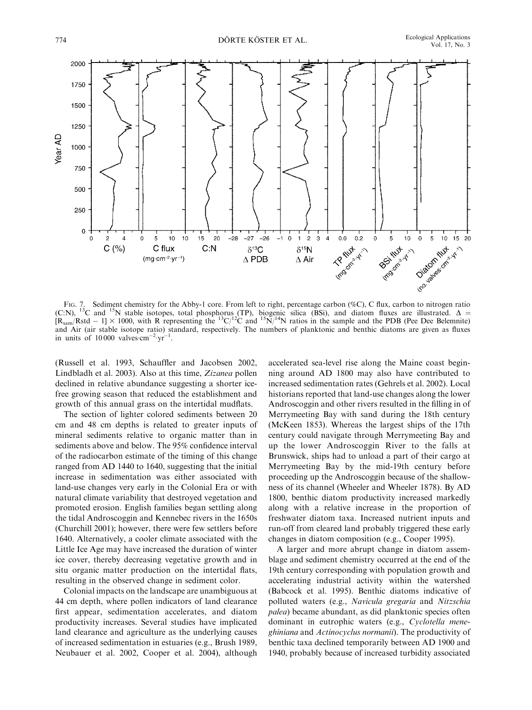

FIG. 7. Sediment chemistry for the Abby-1 core. From left to right, percentage carbon (%C), C flux, carbon to nitrogen ratio (C:N), <sup>13</sup>C and <sup>15</sup>N stable isotopes, total phosphorus (TP), biogenic silica (BSi), and diatom fluxes are illustrated.  $\Delta =$  $[R_{sam}/Rstd - 1] \times 1000$ , with R representing the <sup>13</sup>C/<sup>12</sup>C and <sup>15</sup>N/<sup>14</sup>N ratios in the sample and the PDB (Pee Dee Belemnite) and Air (air stable isotope ratio) standard, respectively. The numbers of planktonic and benthic diatoms are given as fluxes in units of 10000 valves  $cm^{-2}$  yr<sup>-1</sup>.

(Russell et al. 1993, Schauffler and Jacobsen 2002, Lindbladh et al. 2003). Also at this time, Zizanea pollen declined in relative abundance suggesting a shorter icefree growing season that reduced the establishment and growth of this annual grass on the intertidal mudflats.

The section of lighter colored sediments between 20 cm and 48 cm depths is related to greater inputs of mineral sediments relative to organic matter than in sediments above and below. The 95% confidence interval of the radiocarbon estimate of the timing of this change ranged from AD 1440 to 1640, suggesting that the initial increase in sedimentation was either associated with land-use changes very early in the Colonial Era or with natural climate variability that destroyed vegetation and promoted erosion. English families began settling along the tidal Androscoggin and Kennebec rivers in the 1650s (Churchill 2001); however, there were few settlers before 1640. Alternatively, a cooler climate associated with the Little Ice Age may have increased the duration of winter ice cover, thereby decreasing vegetative growth and in situ organic matter production on the intertidal flats, resulting in the observed change in sediment color.

Colonial impacts on the landscape are unambiguous at 44 cm depth, where pollen indicators of land clearance first appear, sedimentation accelerates, and diatom productivity increases. Several studies have implicated land clearance and agriculture as the underlying causes of increased sedimentation in estuaries (e.g., Brush 1989, Neubauer et al. 2002, Cooper et al. 2004), although accelerated sea-level rise along the Maine coast beginning around AD 1800 may also have contributed to increased sedimentation rates (Gehrels et al. 2002). Local historians reported that land-use changes along the lower Androscoggin and other rivers resulted in the filling in of Merrymeeting Bay with sand during the 18th century (McKeen 1853). Whereas the largest ships of the 17th century could navigate through Merrymeeting Bay and up the lower Androscoggin River to the falls at Brunswick, ships had to unload a part of their cargo at Merrymeeting Bay by the mid-19th century before proceeding up the Androscoggin because of the shallowness of its channel (Wheeler and Wheeler 1878). By AD 1800, benthic diatom productivity increased markedly along with a relative increase in the proportion of freshwater diatom taxa. Increased nutrient inputs and run-off from cleared land probably triggered these early changes in diatom composition (e.g., Cooper 1995).

A larger and more abrupt change in diatom assemblage and sediment chemistry occurred at the end of the 19th century corresponding with population growth and accelerating industrial activity within the watershed (Babcock et al. 1995). Benthic diatoms indicative of polluted waters (e.g., Navicula gregaria and Nitzschia palea) became abundant, as did planktonic species often dominant in eutrophic waters (e.g., Cyclotella meneghiniana and Actinocyclus normanii). The productivity of benthic taxa declined temporarily between AD 1900 and 1940, probably because of increased turbidity associated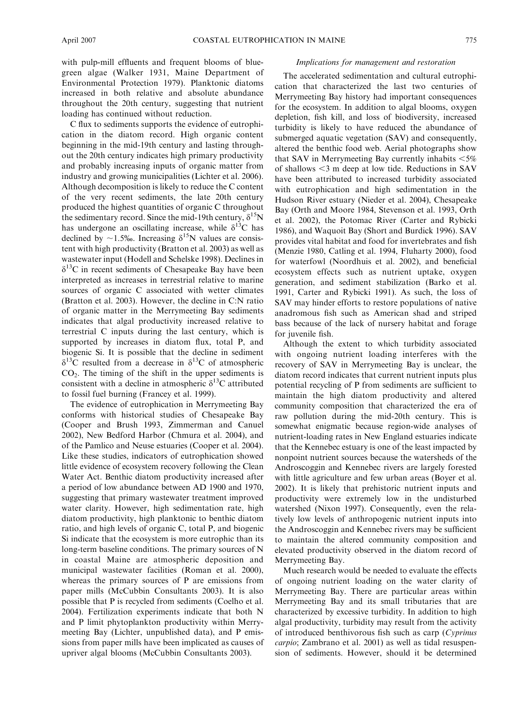with pulp-mill effluents and frequent blooms of bluegreen algae (Walker 1931, Maine Department of Environmental Protection 1979). Planktonic diatoms increased in both relative and absolute abundance throughout the 20th century, suggesting that nutrient loading has continued without reduction.

C flux to sediments supports the evidence of eutrophication in the diatom record. High organic content beginning in the mid-19th century and lasting throughout the 20th century indicates high primary productivity and probably increasing inputs of organic matter from industry and growing municipalities (Lichter et al. 2006). Although decomposition is likely to reduce the C content of the very recent sediments, the late 20th century produced the highest quantities of organic C throughout the sedimentary record. Since the mid-19th century,  $\delta^{15}N$ has undergone an oscillating increase, while  $\delta^{13}$ C has declined by  $\sim$ 1.5‰. Increasing  $\delta^{15}N$  values are consistent with high productivity (Bratton et al. 2003) as well as wastewater input (Hodell and Schelske 1998). Declines in  $\delta^{13}$ C in recent sediments of Chesapeake Bay have been interpreted as increases in terrestrial relative to marine sources of organic C associated with wetter climates (Bratton et al. 2003). However, the decline in C:N ratio of organic matter in the Merrymeeting Bay sediments indicates that algal productivity increased relative to terrestrial C inputs during the last century, which is supported by increases in diatom flux, total P, and biogenic Si. It is possible that the decline in sediment  $\delta^{13}$ C resulted from a decrease in  $\delta^{13}$ C of atmospheric  $CO<sub>2</sub>$ . The timing of the shift in the upper sediments is consistent with a decline in atmospheric  $\delta^{13}$ C attributed to fossil fuel burning (Francey et al. 1999).

The evidence of eutrophication in Merrymeeting Bay conforms with historical studies of Chesapeake Bay (Cooper and Brush 1993, Zimmerman and Canuel 2002), New Bedford Harbor (Chmura et al. 2004), and of the Pamlico and Neuse estuaries (Cooper et al. 2004). Like these studies, indicators of eutrophication showed little evidence of ecosystem recovery following the Clean Water Act. Benthic diatom productivity increased after a period of low abundance between AD 1900 and 1970, suggesting that primary wastewater treatment improved water clarity. However, high sedimentation rate, high diatom productivity, high planktonic to benthic diatom ratio, and high levels of organic C, total P, and biogenic Si indicate that the ecosystem is more eutrophic than its long-term baseline conditions. The primary sources of N in coastal Maine are atmospheric deposition and municipal wastewater facilities (Roman et al. 2000), whereas the primary sources of P are emissions from paper mills (McCubbin Consultants 2003). It is also possible that P is recycled from sediments (Coelho et al. 2004). Fertilization experiments indicate that both N and P limit phytoplankton productivity within Merrymeeting Bay (Lichter, unpublished data), and P emissions from paper mills have been implicated as causes of upriver algal blooms (McCubbin Consultants 2003).

## Implications for management and restoration

The accelerated sedimentation and cultural eutrophication that characterized the last two centuries of Merrymeeting Bay history had important consequences for the ecosystem. In addition to algal blooms, oxygen depletion, fish kill, and loss of biodiversity, increased turbidity is likely to have reduced the abundance of submerged aquatic vegetation (SAV) and consequently, altered the benthic food web. Aerial photographs show that SAV in Merrymeeting Bay currently inhabits  $<$  5% of shallows  $\leq$ 3 m deep at low tide. Reductions in SAV have been attributed to increased turbidity associated with eutrophication and high sedimentation in the Hudson River estuary (Nieder et al. 2004), Chesapeake Bay (Orth and Moore 1984, Stevenson et al. 1993, Orth et al. 2002), the Potomac River (Carter and Rybicki 1986), and Waquoit Bay (Short and Burdick 1996). SAV provides vital habitat and food for invertebrates and fish (Menzie 1980, Catling et al. 1994, Fluharty 2000), food for waterfowl (Noordhuis et al. 2002), and beneficial ecosystem effects such as nutrient uptake, oxygen generation, and sediment stabilization (Barko et al. 1991, Carter and Rybicki 1991). As such, the loss of SAV may hinder efforts to restore populations of native anadromous fish such as American shad and striped bass because of the lack of nursery habitat and forage for juvenile fish.

Although the extent to which turbidity associated with ongoing nutrient loading interferes with the recovery of SAV in Merrymeeting Bay is unclear, the diatom record indicates that current nutrient inputs plus potential recycling of P from sediments are sufficient to maintain the high diatom productivity and altered community composition that characterized the era of raw pollution during the mid-20th century. This is somewhat enigmatic because region-wide analyses of nutrient-loading rates in New England estuaries indicate that the Kennebec estuary is one of the least impacted by nonpoint nutrient sources because the watersheds of the Androscoggin and Kennebec rivers are largely forested with little agriculture and few urban areas (Boyer et al. 2002). It is likely that prehistoric nutrient inputs and productivity were extremely low in the undisturbed watershed (Nixon 1997). Consequently, even the relatively low levels of anthropogenic nutrient inputs into the Androscoggin and Kennebec rivers may be sufficient to maintain the altered community composition and elevated productivity observed in the diatom record of Merrymeeting Bay.

Much research would be needed to evaluate the effects of ongoing nutrient loading on the water clarity of Merrymeeting Bay. There are particular areas within Merrymeeting Bay and its small tributaries that are characterized by excessive turbidity. In addition to high algal productivity, turbidity may result from the activity of introduced benthivorous fish such as carp (Cyprinus carpio; Zambrano et al. 2001) as well as tidal resuspension of sediments. However, should it be determined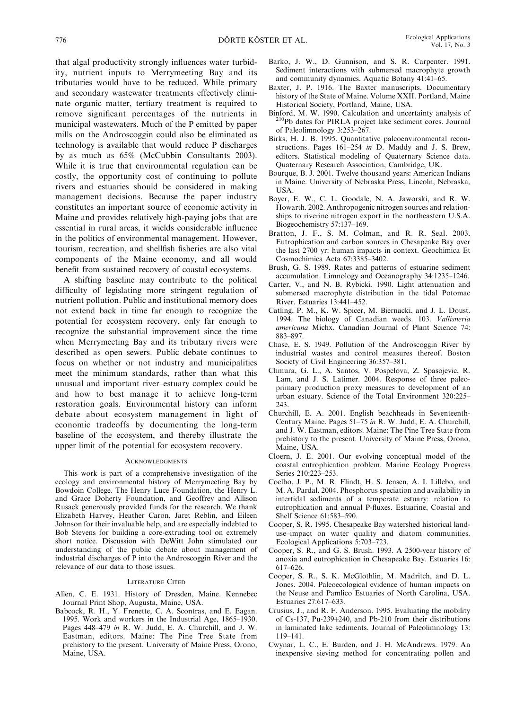that algal productivity strongly influences water turbidity, nutrient inputs to Merrymeeting Bay and its tributaries would have to be reduced. While primary and secondary wastewater treatments effectively eliminate organic matter, tertiary treatment is required to remove significant percentages of the nutrients in municipal wastewaters. Much of the P emitted by paper mills on the Androscoggin could also be eliminated as technology is available that would reduce P discharges by as much as 65% (McCubbin Consultants 2003). While it is true that environmental regulation can be costly, the opportunity cost of continuing to pollute rivers and estuaries should be considered in making management decisions. Because the paper industry constitutes an important source of economic activity in Maine and provides relatively high-paying jobs that are essential in rural areas, it wields considerable influence in the politics of environmental management. However, tourism, recreation, and shellfish fisheries are also vital components of the Maine economy, and all would benefit from sustained recovery of coastal ecosystems.

A shifting baseline may contribute to the political difficulty of legislating more stringent regulation of nutrient pollution. Public and institutional memory does not extend back in time far enough to recognize the potential for ecosystem recovery, only far enough to recognize the substantial improvement since the time when Merrymeeting Bay and its tributary rivers were described as open sewers. Public debate continues to focus on whether or not industry and municipalities meet the minimum standards, rather than what this unusual and important river–estuary complex could be and how to best manage it to achieve long-term restoration goals. Environmental history can inform debate about ecosystem management in light of economic tradeoffs by documenting the long-term baseline of the ecosystem, and thereby illustrate the upper limit of the potential for ecosystem recovery.

#### **ACKNOWLEDGMENTS**

This work is part of a comprehensive investigation of the ecology and environmental history of Merrymeeting Bay by Bowdoin College. The Henry Luce Foundation, the Henry L. and Grace Doherty Foundation, and Geoffrey and Allison Rusack generously provided funds for the research. We thank Elizabeth Harvey, Heather Caron, Jaret Reblin, and Eileen Johnson for their invaluable help, and are especially indebted to Bob Stevens for building a core-extruding tool on extremely short notice. Discussion with DeWitt John stimulated our understanding of the public debate about management of industrial discharges of P into the Androscoggin River and the relevance of our data to those issues.

#### LITERATURE CITED

- Allen, C. E. 1931. History of Dresden, Maine. Kennebec Journal Print Shop, Augusta, Maine, USA.
- Babcock, R. H., Y. Frenette, C. A. Scontras, and E. Eagan. 1995. Work and workers in the Industrial Age, 1865–1930. Pages 448–479 in R. W. Judd, E. A. Churchill, and J. W. Eastman, editors. Maine: The Pine Tree State from prehistory to the present. University of Maine Press, Orono, Maine, USA.
- Barko, J. W., D. Gunnison, and S. R. Carpenter. 1991. Sediment interactions with submersed macrophyte growth and community dynamics. Aquatic Botany 41:41–65.
- Baxter, J. P. 1916. The Baxter manuscripts. Documentary history of the State of Maine. Volume XXII. Portland, Maine Historical Society, Portland, Maine, USA.
- Binford, M. W. 1990. Calculation and uncertainty analysis of <sup>210</sup>Pb dates for PIRLA project lake sediment cores. Journal of Paleolimnology 3:253–267.
- Birks, H. J. B. 1995. Quantitative paleoenvironmental reconstructions. Pages 161–254 in D. Maddy and J. S. Brew, editors. Statistical modeling of Quaternary Science data. Quaternary Research Association, Cambridge, UK.
- Bourque, B. J. 2001. Twelve thousand years: American Indians in Maine. University of Nebraska Press, Lincoln, Nebraska, USA.
- Boyer, E. W., C. L. Goodale, N. A. Jaworski, and R. W. Howarth. 2002. Anthropogenic nitrogen sources and relationships to riverine nitrogen export in the northeastern U.S.A. Biogeochemistry 57:137–169.
- Bratton, J. F., S. M. Colman, and R. R. Seal. 2003. Eutrophication and carbon sources in Chesapeake Bay over the last 2700 yr: human impacts in context. Geochimica Et Cosmochimica Acta 67:3385–3402.
- Brush, G. S. 1989. Rates and patterns of estuarine sediment accumulation. Limnology and Oceanography 34:1235–1246.
- Carter, V., and N. B. Rybicki. 1990. Light attenuation and submersed macrophyte distribution in the tidal Potomac River. Estuaries 13:441–452.
- Catling, P. M., K. W. Spicer, M. Biernacki, and J. L. Doust. 1994. The biology of Canadian weeds. 103. Vallisneria americana Michx. Canadian Journal of Plant Science 74: 883–897.
- Chase, E. S. 1949. Pollution of the Androscoggin River by industrial wastes and control measures thereof. Boston Society of Civil Engineering 36:357–381.
- Chmura, G. L., A. Santos, V. Pospelova, Z. Spasojevic, R. Lam, and J. S. Latimer. 2004. Response of three paleoprimary production proxy measures to development of an urban estuary. Science of the Total Environment 320:225– 243.
- Churchill, E. A. 2001. English beachheads in Seventeenth-Century Maine. Pages 51–75 in R. W. Judd, E. A. Churchill, and J. W. Eastman, editors. Maine: The Pine Tree State from prehistory to the present. University of Maine Press, Orono, Maine, USA.
- Cloern, J. E. 2001. Our evolving conceptual model of the coastal eutrophication problem. Marine Ecology Progress Series 210:223–253.
- Coelho, J. P., M. R. Flindt, H. S. Jensen, A. I. Lillebo, and M. A. Pardal. 2004. Phosphorus speciation and availability in intertidal sediments of a temperate estuary: relation to eutrophication and annual P-fluxes. Estuarine, Coastal and Shelf Science 61:583–590.
- Cooper, S. R. 1995. Chesapeake Bay watershed historical landuse–impact on water quality and diatom communities. Ecological Applications 5:703–723.
- Cooper, S. R., and G. S. Brush. 1993. A 2500-year history of anoxia and eutrophication in Chesapeake Bay. Estuaries 16: 617–626.
- Cooper, S. R., S. K. McGlothlin, M. Madritch, and D. L. Jones. 2004. Paleoecological evidence of human impacts on the Neuse and Pamlico Estuaries of North Carolina, USA. Estuaries 27:617–633.
- Crusius, J., and R. F. Anderson. 1995. Evaluating the mobility of  $Cs-137$ , Pu-239+240, and Pb-210 from their distributions in laminated lake sediments. Journal of Paleolimnology 13: 119–141.
- Cwynar, L. C., E. Burden, and J. H. McAndrews. 1979. An inexpensive sieving method for concentrating pollen and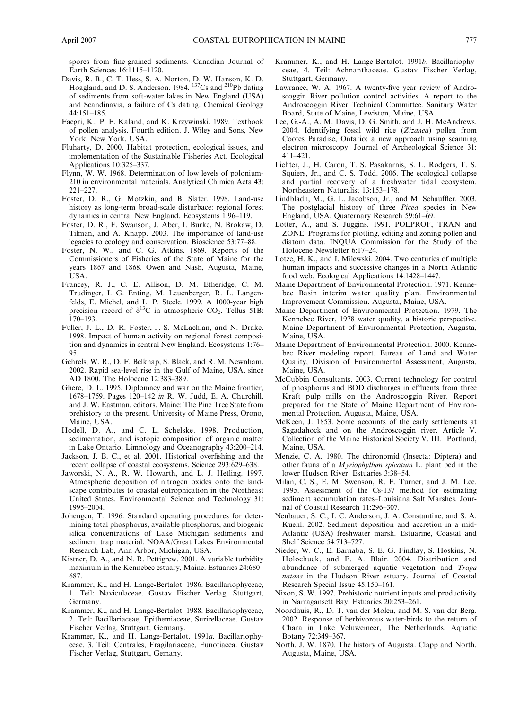spores from fine-grained sediments. Canadian Journal of Earth Sciences 16:1115–1120.

- Davis, R. B., C. T. Hess, S. A. Norton, D. W. Hanson, K. D. Hoagland, and D. S. Anderson. 1984. <sup>137</sup>Cs and <sup>210</sup>Pb dating of sediments from soft-water lakes in New England (USA) and Scandinavia, a failure of Cs dating. Chemical Geology 44:151–185.
- Faegri, K., P. E. Kaland, and K. Krzywinski. 1989. Textbook of pollen analysis. Fourth edition. J. Wiley and Sons, New York, New York, USA.
- Fluharty, D. 2000. Habitat protection, ecological issues, and implementation of the Sustainable Fisheries Act. Ecological Applications 10:325–337.
- Flynn, W. W. 1968. Determination of low levels of polonium-210 in environmental materials. Analytical Chimica Acta 43: 221–227.
- Foster, D. R., G. Motzkin, and B. Slater. 1998. Land-use history as long-term broad-scale disturbace: regional forest dynamics in central New England. Ecosystems 1:96–119.
- Foster, D. R., F. Swanson, J. Aber, I. Burke, N. Brokaw, D. Tilman, and A. Knapp. 2003. The importance of land-use legacies to ecology and conservation. Bioscience 53:77–88.
- Foster, N. W., and C. G. Atkins. 1869. Reports of the Commissioners of Fisheries of the State of Maine for the years 1867 and 1868. Owen and Nash, Augusta, Maine, USA.
- Francey, R. J., C. E. Allison, D. M. Etheridge, C. M. Trudinger, I. G. Enting, M. Leuenberger, R. L. Langenfelds, E. Michel, and L. P. Steele. 1999. A 1000-year high precision record of  $\delta^{13}C$  in atmospheric CO<sub>2</sub>. Tellus 51B: 170–193.
- Fuller, J. L., D. R. Foster, J. S. McLachlan, and N. Drake. 1998. Impact of human activity on regional forest composition and dynamics in central New England. Ecosystems 1:76– 95.
- Gehrels, W. R., D. F. Belknap, S. Black, and R. M. Newnham. 2002. Rapid sea-level rise in the Gulf of Maine, USA, since AD 1800. The Holocene 12:383–389.
- Ghere, D. L. 1995. Diplomacy and war on the Maine frontier, 1678–1759. Pages 120–142 in R. W. Judd, E. A. Churchill, and J. W. Eastman, editors. Maine: The Pine Tree State from prehistory to the present. University of Maine Press, Orono, Maine, USA.
- Hodell, D. A., and C. L. Schelske. 1998. Production, sedimentation, and isotopic composition of organic matter in Lake Ontario. Limnology and Oceanography 43:200–214.
- Jackson, J. B. C., et al. 2001. Historical overfishing and the recent collapse of coastal ecosystems. Science 293:629–638.
- Jaworski, N. A., R. W. Howarth, and L. J. Hetling. 1997. Atmospheric deposition of nitrogen oxides onto the landscape contributes to coastal eutrophication in the Northeast United States. Environmental Science and Technology 31: 1995–2004.
- Johengen, T. 1996. Standard operating procedures for determining total phosphorus, available phosphorus, and biogenic silica concentrations of Lake Michigan sediments and sediment trap material. NOAA/Great Lakes Environmental Research Lab, Ann Arbor, Michigan, USA.
- Kistner, D. A., and N. R. Pettigrew. 2001. A variable turbidity maximum in the Kennebec estuary, Maine. Estuaries 24:680– 687.
- Krammer, K., and H. Lange-Bertalot. 1986. Bacillariophyceae, 1. Teil: Naviculaceae. Gustav Fischer Verlag, Stuttgart, Germany.
- Krammer, K., and H. Lange-Bertalot. 1988. Bacillariophyceae, 2. Teil: Bacillariaceae, Epithemiaceae, Surirellaceae. Gustav Fischer Verlag, Stuttgart, Germany.
- Krammer, K., and H. Lange-Bertalot. 1991a. Bacillariophyceae, 3. Teil: Centrales, Fragilariaceae, Eunotiacea. Gustav Fischer Verlag, Stuttgart, Gemany.
- Krammer, K., and H. Lange-Bertalot. 1991b. Bacillariophyceae, 4. Teil: Achnanthaceae. Gustav Fischer Verlag, Stuttgart, Germany.
- Lawrance, W. A. 1967. A twenty-five year review of Androscoggin River pollution control activities. A report to the Androscoggin River Technical Committee. Sanitary Water Board, State of Maine, Lewiston, Maine, USA.
- Lee, G.-A., A. M. Davis, D. G. Smith, and J. H. McAndrews. 2004. Identifying fossil wild rice (Zizanea) pollen from Cootes Paradise, Ontario: a new approach using scanning electron microscopy. Journal of Archeological Science 31: 411–421.
- Lichter, J., H. Caron, T. S. Pasakarnis, S. L. Rodgers, T. S. Squiers, Jr., and C. S. Todd. 2006. The ecological collapse and partial recovery of a freshwater tidal ecosystem. Northeastern Naturalist 13:153–178.
- Lindbladh, M., G. L. Jacobson, Jr., and M. Schauffler. 2003. The postglacial history of three Picea species in New England, USA. Quaternary Research 59:61–69.
- Lotter, A., and S. Juggins. 1991. POLPROF, TRAN and ZONE: Programs for plotting, editing and zoning pollen and diatom data. INQUA Commission for the Study of the Holocene Newsletter 6:17–24.
- Lotze, H. K., and I. Milewski. 2004. Two centuries of multiple human impacts and successive changes in a North Atlantic food web. Ecological Applications 14:1428–1447.
- Maine Department of Environmental Protection. 1971. Kennebec Basin interim water quality plan. Environmental Improvement Commission. Augusta, Maine, USA.
- Maine Department of Environmental Protection. 1979. The Kennebec River, 1978 water quality, a historic perspective. Maine Department of Environmental Protection, Augusta, Maine, USA.
- Maine Department of Environmental Protection. 2000. Kennebec River modeling report. Bureau of Land and Water Quality, Division of Environmental Assessment, Augusta, Maine, USA.
- McCubbin Consultants. 2003. Current technology for control of phosphorus and BOD discharges in effluents from three Kraft pulp mills on the Androscoggin River. Report prepared for the State of Maine Department of Environmental Protection. Augusta, Maine, USA.
- McKeen, J. 1853. Some accounts of the early settlements at Sagadahock and on the Androscoggin river. Article V. Collection of the Maine Historical Society V. III. Portland, Maine, USA.
- Menzie, C. A. 1980. The chironomid (Insecta: Diptera) and other fauna of a Myriophyllum spicatum L. plant bed in the lower Hudson River. Estuaries 3:38–54.
- Milan, C. S., E. M. Swenson, R. E. Turner, and J. M. Lee. 1995. Assessment of the Cs-137 method for estimating sediment accumulation rates–Louisiana Salt Marshes. Journal of Coastal Research 11:296–307.
- Neubauer, S. C., I. C. Anderson, J. A. Constantine, and S. A. Kuehl. 2002. Sediment deposition and accretion in a mid-Atlantic (USA) freshwater marsh. Estuarine, Coastal and Shelf Science 54:713–727.
- Nieder, W. C., E. Barnaba, S. E. G. Findlay, S. Hoskins, N. Holochuck, and E. A. Blair. 2004. Distribution and abundance of submerged aquatic vegetation and Trapa natans in the Hudson River estuary. Journal of Coastal Research Special Issue 45:150–161.
- Nixon, S. W. 1997. Prehistoric nutrient inputs and productivity in Narragansett Bay. Estuaries 20:253–261.
- Noordhuis, R., D. T. van der Molen, and M. S. van der Berg. 2002. Response of herbivorous water-birds to the return of Chara in Lake Veluwemeer, The Netherlands. Aquatic Botany 72:349–367.
- North, J. W. 1870. The history of Augusta. Clapp and North, Augusta, Maine, USA.